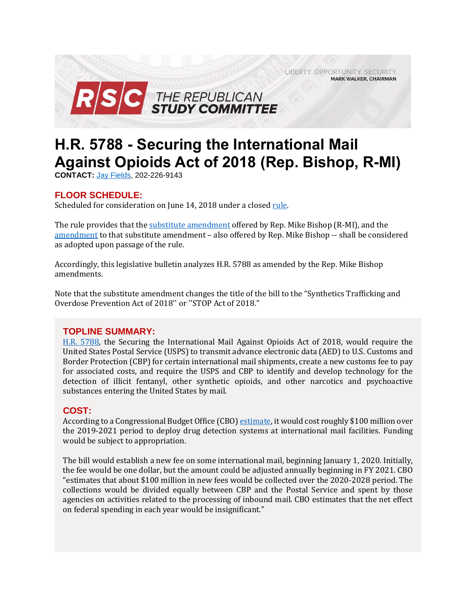LIBERTY. OPPORTUNITY. SECURITY. **MARK WALKER, CHAIRMAN** 



# **H.R. 5788 - Securing the International Mail Against Opioids Act of 2018 (Rep. Bishop, R-MI)**

**CONTACT:** Jay [Fields,](mailto:jay.fields@mail.house.gov) 202-226-9143

## **FLOOR SCHEDULE:**

Scheduled for consideration on June 14, 2018 under a close[d rule.](https://rules.house.gov/sites/republicans.rules.house.gov/files/Rule_HR2851-HR5735-HR5788.pdf)

The rule provides that the [substitute amendment](https://amendments-rules.house.gov/amendments/BISHMI_043_xml61118120817817.pdf) offered by Rep. Mike Bishop (R-MI), and the [amendment](https://amendments-rules.house.gov/amendments/BISHMI%20045612181136333633.pdf) to that substitute amendment – also offered by Rep. Mike Bishop -- shall be considered as adopted upon passage of the rule.

Accordingly, this legislative bulletin analyzes H.R. 5788 as amended by the Rep. Mike Bishop amendments.

Note that the substitute amendment changes the title of the bill to the "Synthetics Trafficking and Overdose Prevention Act of 2018'' or ''STOP Act of 2018."

## **TOPLINE SUMMARY:**

[H.R. 5788,](https://www.gpo.gov/fdsys/pkg/BILLS-115hr5788rh/pdf/BILLS-115hr5788rh.pdf) the Securing the International Mail Against Opioids Act of 2018, would require the United States Postal Service (USPS) to transmit advance electronic data (AED) to U.S. Customs and Border Protection (CBP) for certain international mail shipments, create a new customs fee to pay for associated costs, and require the USPS and CBP to identify and develop technology for the detection of illicit fentanyl, other synthetic opioids, and other narcotics and psychoactive substances entering the United States by mail.

## **COST:**

According to a Congressional Budget Office (CBO[\) estimate,](https://www.cbo.gov/system/files/115th-congress-2017-2018/costestimate/53947-opioid.pdf) it would cost roughly \$100 million over the 2019-2021 period to deploy drug detection systems at international mail facilities. Funding would be subject to appropriation.

The bill would establish a new fee on some international mail, beginning January 1, 2020. Initially, the fee would be one dollar, but the amount could be adjusted annually beginning in FY 2021. CBO "estimates that about \$100 million in new fees would be collected over the 2020-2028 period. The collections would be divided equally between CBP and the Postal Service and spent by those agencies on activities related to the processing of inbound mail. CBO estimates that the net effect on federal spending in each year would be insignificant."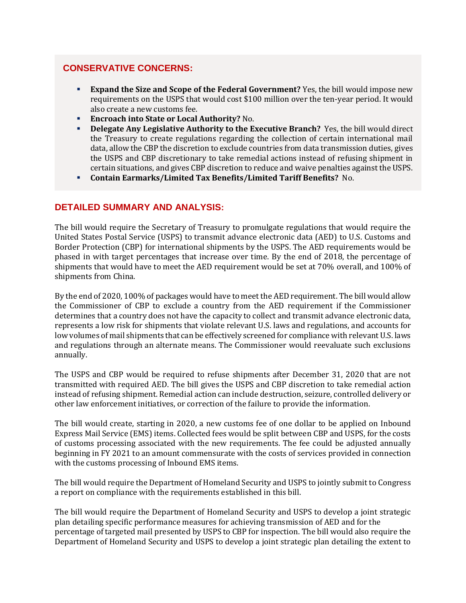## **CONSERVATIVE CONCERNS:**

- **Expand the Size and Scope of the Federal Government?** Yes, the bill would impose new requirements on the USPS that would cost \$100 million over the ten-year period. It would also create a new customs fee.
- **Encroach into State or Local Authority?** No.
- **Delegate Any Legislative Authority to the Executive Branch?** Yes, the bill would direct the Treasury to create regulations regarding the collection of certain international mail data, allow the CBP the discretion to exclude countries from data transmission duties, gives the USPS and CBP discretionary to take remedial actions instead of refusing shipment in certain situations, and gives CBP discretion to reduce and waive penalties against the USPS.
- **Contain Earmarks/Limited Tax Benefits/Limited Tariff Benefits?** No.

### **DETAILED SUMMARY AND ANALYSIS:**

The bill would require the Secretary of Treasury to promulgate regulations that would require the United States Postal Service (USPS) to transmit advance electronic data (AED) to U.S. Customs and Border Protection (CBP) for international shipments by the USPS. The AED requirements would be phased in with target percentages that increase over time. By the end of 2018, the percentage of shipments that would have to meet the AED requirement would be set at 70% overall, and 100% of shipments from China.

By the end of 2020, 100% of packages would have to meet the AED requirement. The bill would allow the Commissioner of CBP to exclude a country from the AED requirement if the Commissioner determines that a country does not have the capacity to collect and transmit advance electronic data, represents a low risk for shipments that violate relevant U.S. laws and regulations, and accounts for low volumes of mail shipments that can be effectively screened for compliance with relevant U.S. laws and regulations through an alternate means. The Commissioner would reevaluate such exclusions annually.

The USPS and CBP would be required to refuse shipments after December 31, 2020 that are not transmitted with required AED. The bill gives the USPS and CBP discretion to take remedial action instead of refusing shipment. Remedial action can include destruction, seizure, controlled delivery or other law enforcement initiatives, or correction of the failure to provide the information.

The bill would create, starting in 2020, a new customs fee of one dollar to be applied on Inbound Express Mail Service (EMS) items. Collected fees would be split between CBP and USPS, for the costs of customs processing associated with the new requirements. The fee could be adjusted annually beginning in FY 2021 to an amount commensurate with the costs of services provided in connection with the customs processing of Inbound EMS items.

The bill would require the Department of Homeland Security and USPS to jointly submit to Congress a report on compliance with the requirements established in this bill.

The bill would require the Department of Homeland Security and USPS to develop a joint strategic plan detailing specific performance measures for achieving transmission of AED and for the percentage of targeted mail presented by USPS to CBP for inspection. The bill would also require the Department of Homeland Security and USPS to develop a joint strategic plan detailing the extent to